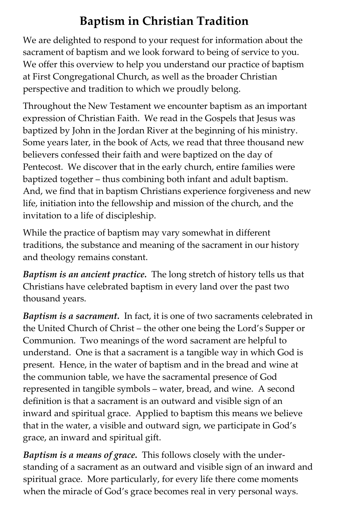### **Baptism in Christian Tradition**

We are delighted to respond to your request for information about the sacrament of baptism and we look forward to being of service to you. We offer this overview to help you understand our practice of baptism at First Congregational Church, as well as the broader Christian perspective and tradition to which we proudly belong.

Throughout the New Testament we encounter baptism as an important expression of Christian Faith. We read in the Gospels that Jesus was baptized by John in the Jordan River at the beginning of his ministry. Some years later, in the book of Acts, we read that three thousand new believers confessed their faith and were baptized on the day of Pentecost. We discover that in the early church, entire families were baptized together – thus combining both infant and adult baptism. And, we find that in baptism Christians experience forgiveness and new life, initiation into the fellowship and mission of the church, and the invitation to a life of discipleship.

While the practice of baptism may vary somewhat in different traditions, the substance and meaning of the sacrament in our history and theology remains constant.

*Baptism is an ancient practice.* The long stretch of history tells us that Christians have celebrated baptism in every land over the past two thousand years.

*Baptism is a sacrament.* In fact, it is one of two sacraments celebrated in the United Church of Christ – the other one being the Lord's Supper or Communion. Two meanings of the word sacrament are helpful to understand. One is that a sacrament is a tangible way in which God is present. Hence, in the water of baptism and in the bread and wine at the communion table, we have the sacramental presence of God represented in tangible symbols – water, bread, and wine. A second definition is that a sacrament is an outward and visible sign of an inward and spiritual grace. Applied to baptism this means we believe that in the water, a visible and outward sign, we participate in God's grace, an inward and spiritual gift.

*Baptism is a means of grace.* This follows closely with the understanding of a sacrament as an outward and visible sign of an inward and spiritual grace. More particularly, for every life there come moments when the miracle of God's grace becomes real in very personal ways.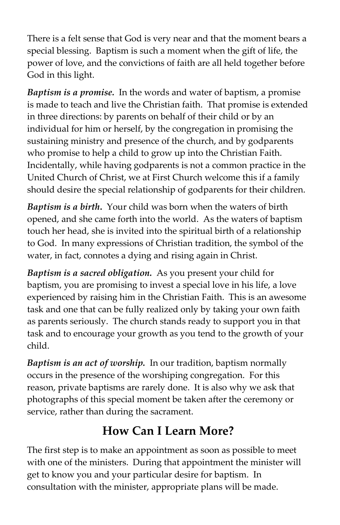There is a felt sense that God is very near and that the moment bears a special blessing. Baptism is such a moment when the gift of life, the power of love, and the convictions of faith are all held together before God in this light.

*Baptism is a promise.* In the words and water of baptism, a promise is made to teach and live the Christian faith. That promise is extended in three directions: by parents on behalf of their child or by an individual for him or herself, by the congregation in promising the sustaining ministry and presence of the church, and by godparents who promise to help a child to grow up into the Christian Faith. Incidentally, while having godparents is not a common practice in the United Church of Christ, we at First Church welcome this if a family should desire the special relationship of godparents for their children.

*Baptism is a birth***.** Your child was born when the waters of birth opened, and she came forth into the world. As the waters of baptism touch her head, she is invited into the spiritual birth of a relationship to God. In many expressions of Christian tradition, the symbol of the water, in fact, connotes a dying and rising again in Christ.

*Baptism is a sacred obligation.* As you present your child for baptism, you are promising to invest a special love in his life, a love experienced by raising him in the Christian Faith. This is an awesome task and one that can be fully realized only by taking your own faith as parents seriously. The church stands ready to support you in that task and to encourage your growth as you tend to the growth of your child.

*Baptism is an act of worship.* In our tradition, baptism normally occurs in the presence of the worshiping congregation. For this reason, private baptisms are rarely done. It is also why we ask that photographs of this special moment be taken after the ceremony or service, rather than during the sacrament.

#### **How Can I Learn More?**

The first step is to make an appointment as soon as possible to meet with one of the ministers. During that appointment the minister will get to know you and your particular desire for baptism. In consultation with the minister, appropriate plans will be made.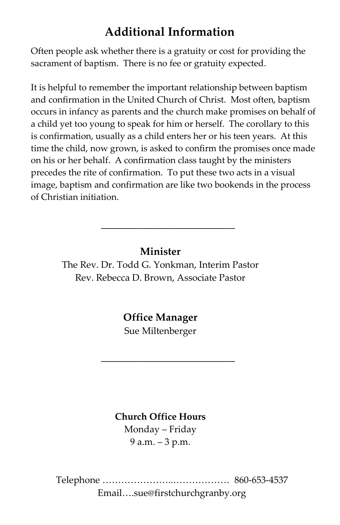#### **Additional Information**

Often people ask whether there is a gratuity or cost for providing the sacrament of baptism. There is no fee or gratuity expected.

It is helpful to remember the important relationship between baptism and confirmation in the United Church of Christ. Most often, baptism occurs in infancy as parents and the church make promises on behalf of a child yet too young to speak for him or herself. The corollary to this is confirmation, usually as a child enters her or his teen years. At this time the child, now grown, is asked to confirm the promises once made on his or her behalf. A confirmation class taught by the ministers precedes the rite of confirmation. To put these two acts in a visual image, baptism and confirmation are like two bookends in the process of Christian initiation.

**Minister** The Rev. Dr. Todd G. Yonkman, Interim Pastor Rev. Rebecca D. Brown, Associate Pastor

\_\_\_\_\_\_\_\_\_\_\_\_\_\_\_\_\_\_\_\_\_\_\_\_\_\_

**Office Manager** Sue Miltenberger

\_\_\_\_\_\_\_\_\_\_\_\_\_\_\_\_\_\_\_\_\_\_\_\_\_\_

**Church Office Hours** Monday – Friday 9 a.m. – 3 p.m.

Telephone …………………..……………… 860-653-4537 Email….sue@firstchurchgranby.org